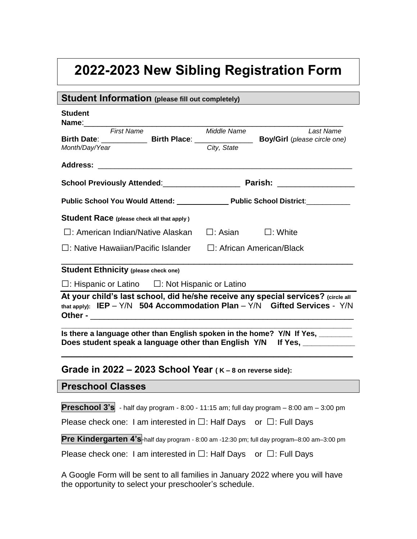## **2022-2023 New Sibling Registration Form**

| <b>Student Information</b> (please fill out completely)                                                                                                              |                                                                                                                |                |  |  |
|----------------------------------------------------------------------------------------------------------------------------------------------------------------------|----------------------------------------------------------------------------------------------------------------|----------------|--|--|
| <b>Student</b><br>Name:________                                                                                                                                      |                                                                                                                |                |  |  |
| <b>First Name</b>                                                                                                                                                    | Middle Name                                                                                                    | Last Name      |  |  |
| Birth Date: _____________________Birth Place: __________________________________Boy/Girl (please circle one)<br>Month/Day/Year                                       | City, State                                                                                                    |                |  |  |
|                                                                                                                                                                      |                                                                                                                |                |  |  |
|                                                                                                                                                                      |                                                                                                                |                |  |  |
|                                                                                                                                                                      | Public School You Would Attend: Public School District: Public School Public School Public School Public Schoo |                |  |  |
| Student Race (please check all that apply)                                                                                                                           |                                                                                                                |                |  |  |
| $\square$ : American Indian/Native Alaskan                                                                                                                           | $\square$ : Asian                                                                                              | $\Box$ : White |  |  |
| □: Native Hawaiian/Pacific Islander<br>$\Box$ : African American/Black                                                                                               |                                                                                                                |                |  |  |
| <b>Student Ethnicity (please check one)</b>                                                                                                                          |                                                                                                                |                |  |  |
| $\Box$ : Hispanic or Latino $\Box$ : Not Hispanic or Latino                                                                                                          |                                                                                                                |                |  |  |
| At your child's last school, did he/she receive any special services? (circle all<br>that apply): $IEP - Y/N$ 504 Accommodation Plan - $Y/N$ Gifted Services - $Y/N$ |                                                                                                                |                |  |  |
| Is there a language other than English spoken in the home? Y/N If Yes, _______<br>Does student speak a language other than English Y/N If Yes, ___________           |                                                                                                                |                |  |  |
| Grade in 2022 $-$ 2023 School Year ( $K-8$ on reverse side):                                                                                                         |                                                                                                                |                |  |  |
| <b>Preschool Classes</b>                                                                                                                                             |                                                                                                                |                |  |  |
| <b>Preschool 3's</b> - half day program - 8:00 - 11:15 am; full day program $-$ 8:00 am $-$ 3:00 pm                                                                  |                                                                                                                |                |  |  |
| Please check one: I am interested in $\square$ : Half Days or $\square$ : Full Days                                                                                  |                                                                                                                |                |  |  |
| Pre Kindergarten 4's-half day program - 8:00 am -12:30 pm; full day program-8:00 am-3:00 pm                                                                          |                                                                                                                |                |  |  |
| Please check one: I am interested in $\square$ : Half Days or $\square$ : Full Days                                                                                  |                                                                                                                |                |  |  |

A Google Form will be sent to all families in January 2022 where you will have the opportunity to select your preschooler's schedule.